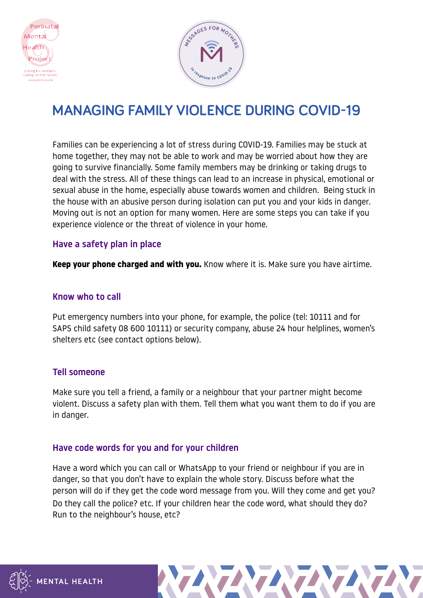



# **MANAGING FAMILY VIOLENCE DURING COVID-19**

Families can be experiencing a lot of stress during COVID-19. Families may be stuck at home together, they may not be able to work and may be worried about how they are going to survive financially. Some family members may be drinking or taking drugs to deal with the stress. All of these things can lead to an increase in physical, emotional or sexual abuse in the home, especially abuse towards women and children. Being stuck in the house with an abusive person during isolation can put you and your kids in danger. Moving out is not an option for many women. Here are some steps you can take if you experience violence or the threat of violence in your home.

## Have a safety plan in place

**Keep your phone charged and with you.** Know where it is. Make sure you have airtime.

## Know who to call

Put emergency numbers into your phone, for example, the police (tel: 10111 and for SAPS child safety 08 600 10111) or security company, abuse 24 hour helplines, women's shelters etc (see contact options below).

## Tell someone

Make sure you tell a friend, a family or a neighbour that your partner might become violent. Discuss a safety plan with them. Tell them what you want them to do if you are in danger.

## Have code words for you and for your children

Have a word which you can call or WhatsApp to your friend or neighbour if you are in danger, so that you don't have to explain the whole story. Discuss before what the person will do if they get the code word message from you. Will they come and get you? Do they call the police? etc. If your children hear the code word, what should they do? Run to the neighbour's house, etc?



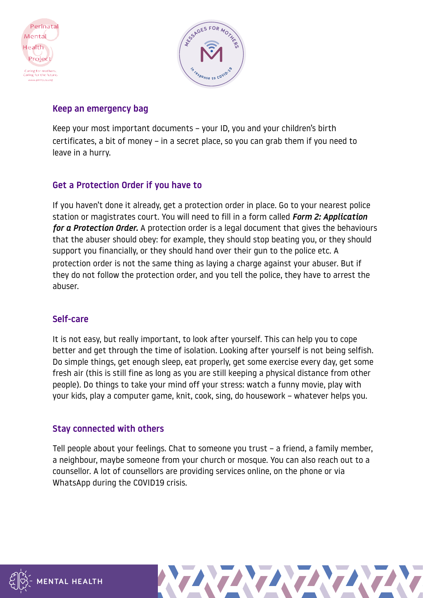



# Keep an emergency bag

Keep your most important documents – your ID, you and your children's birth certificates, a bit of money – in a secret place, so you can grab them if you need to leave in a hurry.

# Get a Protection Order if you have to

If you haven't done it already, get a protection order in place. Go to your nearest police station or magistrates court. You will need to fill in a form called *Form 2: Application for a Protection Order.* A protection order is a legal document that gives the behaviours that the abuser should obey: for example, they should stop beating you, or they should support you financially, or they should hand over their gun to the police etc. A protection order is not the same thing as laying a charge against your abuser. But if they do not follow the protection order, and you tell the police, they have to arrest the abuser.

# Self-care

It is not easy, but really important, to look after yourself. This can help you to cope better and get through the time of isolation. Looking after yourself is not being selfish. Do simple things, get enough sleep, eat properly, get some exercise every day, get some fresh air (this is still fine as long as you are still keeping a physical distance from other people). Do things to take your mind off your stress: watch a funny movie, play with your kids, play a computer game, knit, cook, sing, do housework – whatever helps you.

## Stay connected with others

Tell people about your feelings. Chat to someone you trust – a friend, a family member, a neighbour, maybe someone from your church or mosque. You can also reach out to a counsellor. A lot of counsellors are providing services online, on the phone or via WhatsApp during the COVID19 crisis.